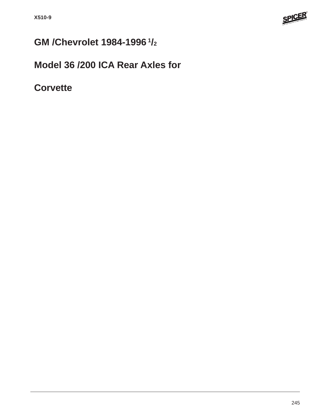

# **GM /Chevrolet 1984-1996 1/2**

## **Model 36 /200 ICA Rear Axles for**

**Corvette**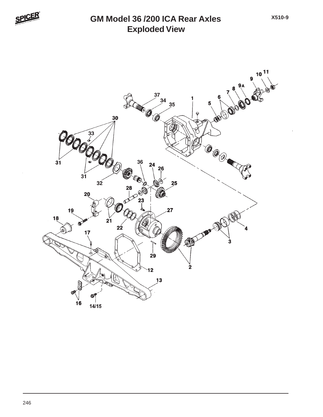

#### **Exploded View GM Model 36 /200 ICA Rear Axles**

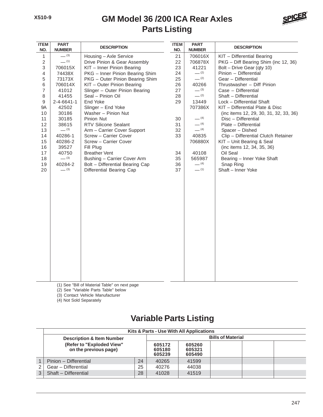#### **Parts Listing GM Model 36 /200 ICA Rear Axles**



| <b>ITEM</b><br>NO.        | <b>PART</b><br><b>NUMBER</b> | <b>DESCRIPTION</b>              | <b>ITEM</b><br>NO. | <b>PART</b><br><b>NUMBER</b> | <b>DESCRIPTION</b>                     |
|---------------------------|------------------------------|---------------------------------|--------------------|------------------------------|----------------------------------------|
| $\mathbf{1}$              | $- (3)$                      | Housing - Axle Service          | 21                 | 706016X                      | KIT - Differential Bearing             |
| $\sqrt{2}$                | $-$ (1)                      | Drive Pinion & Gear Assembly    | 22                 | 706878X                      | PKG - Diff Bearing Shim (inc 12, 36)   |
| $\ensuremath{\mathsf{3}}$ | 706015X                      | KIT - Inner Pinion Bearing      | 23                 | 41221                        | Bolt - Drive Gear (qty 10)             |
| $\overline{4}$            | 74438X                       | PKG - Inner Pinion Bearing Shim | 24                 | $-$ (2)                      | Pinion - Differential                  |
| $\,$ 5 $\,$               | 73173X                       | PKG - Outer Pinion Bearing Shim | 25                 | $- (2)$                      | Gear - Differential                    |
| $\,6$                     | 706014X                      | KIT - Outer Pinion Bearing      | 26                 | 40266                        | Thrustwasher - Diff Pinion             |
| $\overline{7}$            | 41012                        | Slinger - Outer Pinion Bearing  | 27                 | $- (3)$                      | Case - Differential                    |
| $\,8\,$                   | 41455                        | Seal - Pinion Oil               | 28                 | $-$ (2)                      | Shaft - Differential                   |
| 9                         | $2 - 4 - 6641 - 1$           | End Yoke                        | 29                 | 13449                        | Lock - Differential Shaft              |
| <b>9A</b>                 | 42502                        | Slinger - End Yoke              |                    | 707386X                      | KIT - Differential Plate & Disc        |
| 10                        | 30186                        | Washer - Pinion Nut             |                    |                              | (inc items 12, 29, 30, 31, 32, 33, 36) |
| 11                        | 30185                        | Pinion Nut                      | 30                 | $- (4)$                      | Disc - Differential                    |
| 12                        | 38615                        | <b>RTV Silicone Sealant</b>     | 31                 | $- (4)$                      | Plate - Differential                   |
| 13                        | $- (3)$                      | Arm - Carrier Cover Support     | 32                 | $- (4)$                      | Spacer - Dished                        |
| 14                        | 40286-1                      | Screw - Carrier Cover           | 33                 | 40835                        | Clip - Differential Clutch Retainer    |
| 15                        | 40286-2                      | Screw - Carrier Cover           |                    | 706880X                      | KIT - Unit Bearing & Seal              |
| 16                        | 39527                        | Fill Plug                       |                    |                              | (inc items 12, 34, 35, 36)             |
| 17                        | 40750                        | <b>Breather Vent</b>            | 34                 | 40108                        | Oil Seal                               |
| 18                        | $- (3)$                      | Bushing - Carrier Cover Arm     | 35                 | 565987                       | Bearing - Inner Yoke Shaft             |
| 19                        | 40284-2                      | Bolt - Differential Bearing Cap | 36                 | $-$ (4)                      | Snap Ring                              |
| 20                        | $- (3)$                      | Differential Bearing Cap        | 37                 | $-$ (1)                      | Shaft - Inner Yoke                     |
|                           |                              |                                 |                    |                              |                                        |
|                           |                              |                                 |                    |                              |                                        |
|                           |                              |                                 |                    |                              |                                        |
|                           |                              |                                 |                    |                              |                                        |
|                           |                              |                                 |                    |                              |                                        |
|                           |                              |                                 |                    |                              |                                        |
|                           |                              |                                 |                    |                              |                                        |
|                           |                              |                                 |                    |                              |                                        |
|                           |                              |                                 |                    |                              |                                        |
|                           |                              |                                 |                    |                              |                                        |
|                           |                              |                                 |                    |                              |                                        |
|                           |                              |                                 |                    |                              |                                        |
|                           |                              |                                 |                    |                              |                                        |
|                           |                              |                                 |                    |                              |                                        |
|                           |                              |                                 |                    |                              |                                        |
|                           |                              |                                 |                    |                              |                                        |
|                           |                              |                                 |                    |                              |                                        |
|                           |                              |                                 |                    |                              |                                        |
|                           |                              |                                 |                    |                              |                                        |

(1) See "Bill of Material Table" on next page

(2) See "Variable Parts Table" below

(3) Contact Vehicle Manufacturer

(4) Not Sold Separately

### **Variable Parts Listing**

|   | Kits & Parts - Use With All Applications           |                            |                            |       |  |  |  |  |  |  |
|---|----------------------------------------------------|----------------------------|----------------------------|-------|--|--|--|--|--|--|
|   | <b>Description &amp; Item Number</b>               | <b>Bills of Material</b>   |                            |       |  |  |  |  |  |  |
|   | (Refer to "Exploded View"<br>on the previous page) | 605172<br>605180<br>605239 | 605260<br>605321<br>605490 |       |  |  |  |  |  |  |
|   | Pinion - Differential                              | 24                         | 40265                      | 41599 |  |  |  |  |  |  |
|   | Gear - Differential                                | 25                         | 40276                      | 44038 |  |  |  |  |  |  |
| 3 | Shaft - Differential                               | 28                         | 41028                      | 41519 |  |  |  |  |  |  |
|   |                                                    |                            |                            |       |  |  |  |  |  |  |